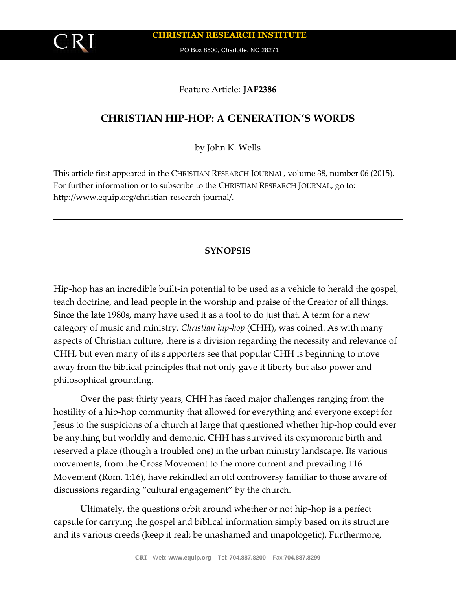**CHRISTIAN RESEARCH INSTITUTE**

PO Box 8500, Charlotte, NC 28271

## Feature Article: **JAF2386**

# **CHRISTIAN HIP-HOP: A GENERATION'S WORDS**

by John K. Wells

This article first appeared in the CHRISTIAN RESEARCH JOURNAL, volume 38, number 06 (2015). For further information or to subscribe to the CHRISTIAN RESEARCH JOURNAL, go to: http://www.equip.org/christian-research-journal/.

## **SYNOPSIS**

Hip-hop has an incredible built-in potential to be used as a vehicle to herald the gospel, teach doctrine, and lead people in the worship and praise of the Creator of all things. Since the late 1980s, many have used it as a tool to do just that. A term for a new category of music and ministry, *Christian hip-hop* (CHH), was coined. As with many aspects of Christian culture, there is a division regarding the necessity and relevance of CHH, but even many of its supporters see that popular CHH is beginning to move away from the biblical principles that not only gave it liberty but also power and philosophical grounding.

Over the past thirty years, CHH has faced major challenges ranging from the hostility of a hip-hop community that allowed for everything and everyone except for Jesus to the suspicions of a church at large that questioned whether hip-hop could ever be anything but worldly and demonic. CHH has survived its oxymoronic birth and reserved a place (though a troubled one) in the urban ministry landscape. Its various movements, from the Cross Movement to the more current and prevailing 116 Movement (Rom. 1:16), have rekindled an old controversy familiar to those aware of discussions regarding "cultural engagement" by the church.

Ultimately, the questions orbit around whether or not hip-hop is a perfect capsule for carrying the gospel and biblical information simply based on its structure and its various creeds (keep it real; be unashamed and unapologetic). Furthermore,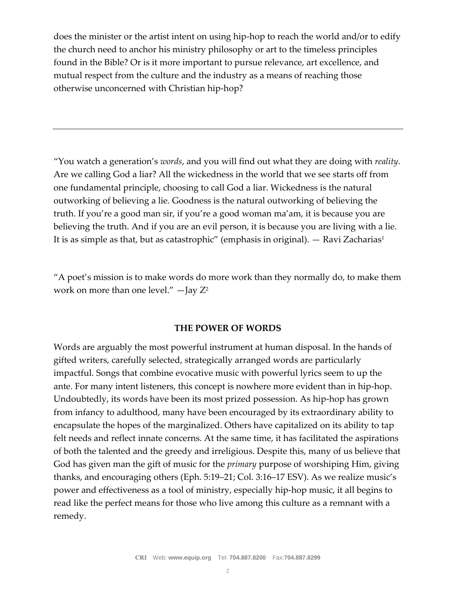does the minister or the artist intent on using hip-hop to reach the world and/or to edify the church need to anchor his ministry philosophy or art to the timeless principles found in the Bible? Or is it more important to pursue relevance, art excellence, and mutual respect from the culture and the industry as a means of reaching those otherwise unconcerned with Christian hip-hop?

"You watch a generation's *words*, and you will find out what they are doing with *reality*. Are we calling God a liar? All the wickedness in the world that we see starts off from one fundamental principle, choosing to call God a liar. Wickedness is the natural outworking of believing a lie. Goodness is the natural outworking of believing the truth. If you're a good man sir, if you're a good woman ma'am, it is because you are believing the truth. And if you are an evil person, it is because you are living with a lie. It is as simple as that, but as catastrophic" (emphasis in original).  $-$  Ravi Zacharias<sup>1</sup>

"A poet's mission is to make words do more work than they normally do, to make them work on more than one level."  $-$  Jay  $Z^2$ 

### **THE POWER OF WORDS**

Words are arguably the most powerful instrument at human disposal. In the hands of gifted writers, carefully selected, strategically arranged words are particularly impactful. Songs that combine evocative music with powerful lyrics seem to up the ante. For many intent listeners, this concept is nowhere more evident than in hip-hop. Undoubtedly, its words have been its most prized possession. As hip-hop has grown from infancy to adulthood, many have been encouraged by its extraordinary ability to encapsulate the hopes of the marginalized. Others have capitalized on its ability to tap felt needs and reflect innate concerns. At the same time, it has facilitated the aspirations of both the talented and the greedy and irreligious. Despite this, many of us believe that God has given man the gift of music for the *primary* purpose of worshiping Him, giving thanks, and encouraging others (Eph. 5:19–21; Col. 3:16–17 ESV). As we realize music's power and effectiveness as a tool of ministry, especially hip-hop music, it all begins to read like the perfect means for those who live among this culture as a remnant with a remedy.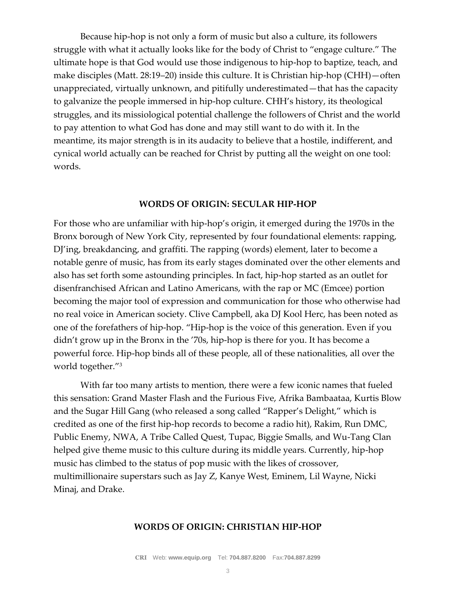Because hip-hop is not only a form of music but also a culture, its followers struggle with what it actually looks like for the body of Christ to "engage culture." The ultimate hope is that God would use those indigenous to hip-hop to baptize, teach, and make disciples (Matt. 28:19–20) inside this culture. It is Christian hip-hop (CHH)—often unappreciated, virtually unknown, and pitifully underestimated—that has the capacity to galvanize the people immersed in hip-hop culture. CHH's history, its theological struggles, and its missiological potential challenge the followers of Christ and the world to pay attention to what God has done and may still want to do with it. In the meantime, its major strength is in its audacity to believe that a hostile, indifferent, and cynical world actually can be reached for Christ by putting all the weight on one tool: words.

#### **WORDS OF ORIGIN: SECULAR HIP-HOP**

For those who are unfamiliar with hip-hop's origin, it emerged during the 1970s in the Bronx borough of New York City, represented by four foundational elements: rapping, DJ'ing, breakdancing, and graffiti. The rapping (words) element, later to become a notable genre of music, has from its early stages dominated over the other elements and also has set forth some astounding principles. In fact, hip-hop started as an outlet for disenfranchised African and Latino Americans, with the rap or MC (Emcee) portion becoming the major tool of expression and communication for those who otherwise had no real voice in American society. Clive Campbell, aka DJ Kool Herc, has been noted as one of the forefathers of hip-hop. "Hip-hop is the voice of this generation. Even if you didn't grow up in the Bronx in the '70s, hip-hop is there for you. It has become a powerful force. Hip-hop binds all of these people, all of these nationalities, all over the world together."<sup>3</sup>

With far too many artists to mention, there were a few iconic names that fueled this sensation: Grand Master Flash and the Furious Five, Afrika Bambaataa, Kurtis Blow and the Sugar Hill Gang (who released a song called "Rapper's Delight," which is credited as one of the first hip-hop records to become a radio hit), Rakim, Run DMC, Public Enemy, NWA, A Tribe Called Quest, Tupac, Biggie Smalls, and Wu-Tang Clan helped give theme music to this culture during its middle years. Currently, hip-hop music has climbed to the status of pop music with the likes of crossover, multimillionaire superstars such as Jay Z, Kanye West, Eminem, Lil Wayne, Nicki Minaj, and Drake.

#### **WORDS OF ORIGIN: CHRISTIAN HIP-HOP**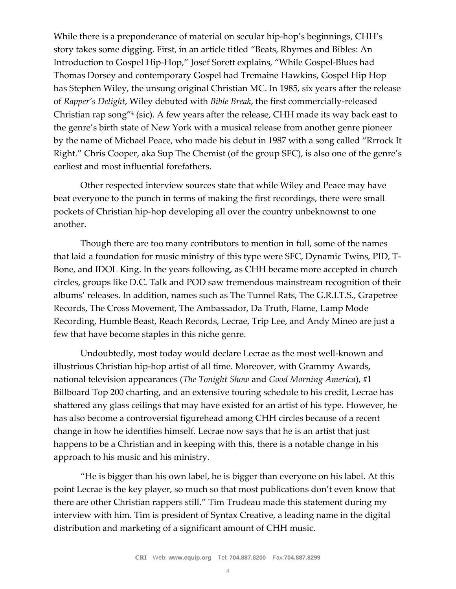While there is a preponderance of material on secular hip-hop's beginnings, CHH's story takes some digging. First, in an article titled "Beats, Rhymes and Bibles: An Introduction to Gospel Hip-Hop," Josef Sorett explains, "While Gospel-Blues had Thomas Dorsey and contemporary Gospel had Tremaine Hawkins, Gospel Hip Hop has Stephen Wiley, the unsung original Christian MC. In 1985, six years after the release of *Rapper's Delight*, Wiley debuted with *Bible Break*, the first commercially-released Christian rap song"<sup>4</sup> (sic). A few years after the release, CHH made its way back east to the genre's birth state of New York with a musical release from another genre pioneer by the name of Michael Peace, who made his debut in 1987 with a song called "Rrrock It Right." Chris Cooper, aka Sup The Chemist (of the group SFC), is also one of the genre's earliest and most influential forefathers.

Other respected interview sources state that while Wiley and Peace may have beat everyone to the punch in terms of making the first recordings, there were small pockets of Christian hip-hop developing all over the country unbeknownst to one another.

Though there are too many contributors to mention in full, some of the names that laid a foundation for music ministry of this type were SFC, Dynamic Twins, PID, T-Bone, and IDOL King. In the years following, as CHH became more accepted in church circles, groups like D.C. Talk and POD saw tremendous mainstream recognition of their albums' releases. In addition, names such as The Tunnel Rats, The G.R.I.T.S., Grapetree Records, The Cross Movement, The Ambassador, Da Truth, Flame, Lamp Mode Recording, Humble Beast, Reach Records, Lecrae, Trip Lee, and Andy Mineo are just a few that have become staples in this niche genre.

Undoubtedly, most today would declare Lecrae as the most well-known and illustrious Christian hip-hop artist of all time. Moreover, with Grammy Awards, national television appearances (*The Tonight Show* and *Good Morning America*), #1 Billboard Top 200 charting, and an extensive touring schedule to his credit, Lecrae has shattered any glass ceilings that may have existed for an artist of his type. However, he has also become a controversial figurehead among CHH circles because of a recent change in how he identifies himself. Lecrae now says that he is an artist that just happens to be a Christian and in keeping with this, there is a notable change in his approach to his music and his ministry.

"He is bigger than his own label, he is bigger than everyone on his label. At this point Lecrae is the key player, so much so that most publications don't even know that there are other Christian rappers still." Tim Trudeau made this statement during my interview with him. Tim is president of Syntax Creative, a leading name in the digital distribution and marketing of a significant amount of CHH music.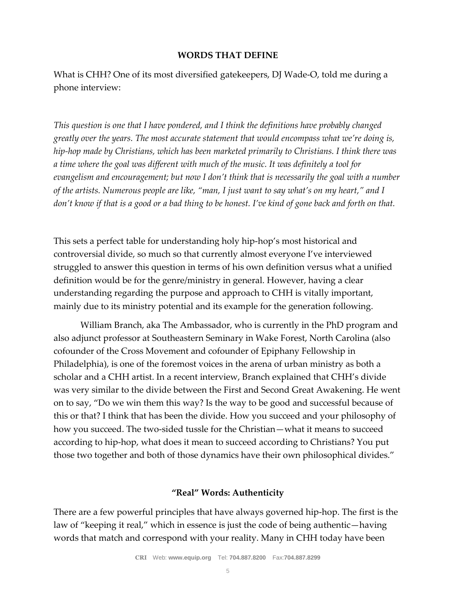### **WORDS THAT DEFINE**

What is CHH? One of its most diversified gatekeepers, DJ Wade-O, told me during a phone interview:

*This question is one that I have pondered, and I think the definitions have probably changed greatly over the years. The most accurate statement that would encompass what we're doing is, hip-hop made by Christians, which has been marketed primarily to Christians. I think there was a time where the goal was different with much of the music. It was definitely a tool for evangelism and encouragement; but now I don't think that is necessarily the goal with a number of the artists. Numerous people are like, "man, I just want to say what's on my heart," and I don't know if that is a good or a bad thing to be honest. I've kind of gone back and forth on that.*

This sets a perfect table for understanding holy hip-hop's most historical and controversial divide, so much so that currently almost everyone I've interviewed struggled to answer this question in terms of his own definition versus what a unified definition would be for the genre/ministry in general. However, having a clear understanding regarding the purpose and approach to CHH is vitally important, mainly due to its ministry potential and its example for the generation following.

William Branch, aka The Ambassador, who is currently in the PhD program and also adjunct professor at Southeastern Seminary in Wake Forest, North Carolina (also cofounder of the Cross Movement and cofounder of Epiphany Fellowship in Philadelphia), is one of the foremost voices in the arena of urban ministry as both a scholar and a CHH artist. In a recent interview, Branch explained that CHH's divide was very similar to the divide between the First and Second Great Awakening. He went on to say, "Do we win them this way? Is the way to be good and successful because of this or that? I think that has been the divide. How you succeed and your philosophy of how you succeed. The two-sided tussle for the Christian—what it means to succeed according to hip-hop, what does it mean to succeed according to Christians? You put those two together and both of those dynamics have their own philosophical divides."

## **"Real" Words: Authenticity**

There are a few powerful principles that have always governed hip-hop. The first is the law of "keeping it real," which in essence is just the code of being authentic—having words that match and correspond with your reality. Many in CHH today have been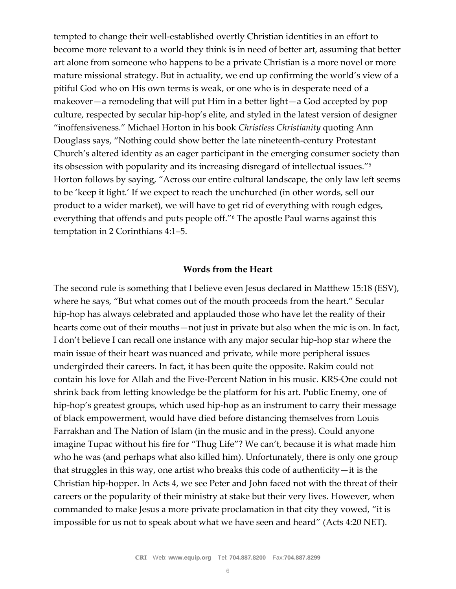tempted to change their well-established overtly Christian identities in an effort to become more relevant to a world they think is in need of better art, assuming that better art alone from someone who happens to be a private Christian is a more novel or more mature missional strategy. But in actuality, we end up confirming the world's view of a pitiful God who on His own terms is weak, or one who is in desperate need of a makeover—a remodeling that will put Him in a better light—a God accepted by pop culture, respected by secular hip-hop's elite, and styled in the latest version of designer "inoffensiveness." Michael Horton in his book *Christless Christianity* quoting Ann Douglass says, "Nothing could show better the late nineteenth-century Protestant Church's altered identity as an eager participant in the emerging consumer society than its obsession with popularity and its increasing disregard of intellectual issues."<sup>5</sup> Horton follows by saying, "Across our entire cultural landscape, the only law left seems to be 'keep it light.' If we expect to reach the unchurched (in other words, sell our product to a wider market), we will have to get rid of everything with rough edges, everything that offends and puts people off."<sup>6</sup> The apostle Paul warns against this temptation in 2 Corinthians 4:1–5.

### **Words from the Heart**

The second rule is something that I believe even Jesus declared in Matthew 15:18 (ESV), where he says, "But what comes out of the mouth proceeds from the heart." Secular hip-hop has always celebrated and applauded those who have let the reality of their hearts come out of their mouths—not just in private but also when the mic is on. In fact, I don't believe I can recall one instance with any major secular hip-hop star where the main issue of their heart was nuanced and private, while more peripheral issues undergirded their careers. In fact, it has been quite the opposite. Rakim could not contain his love for Allah and the Five-Percent Nation in his music. KRS-One could not shrink back from letting knowledge be the platform for his art. Public Enemy, one of hip-hop's greatest groups, which used hip-hop as an instrument to carry their message of black empowerment, would have died before distancing themselves from Louis Farrakhan and The Nation of Islam (in the music and in the press). Could anyone imagine Tupac without his fire for "Thug Life"? We can't, because it is what made him who he was (and perhaps what also killed him). Unfortunately, there is only one group that struggles in this way, one artist who breaks this code of authenticity—it is the Christian hip-hopper. In Acts 4, we see Peter and John faced not with the threat of their careers or the popularity of their ministry at stake but their very lives. However, when commanded to make Jesus a more private proclamation in that city they vowed, "it is impossible for us not to speak about what we have seen and heard" (Acts 4:20 NET).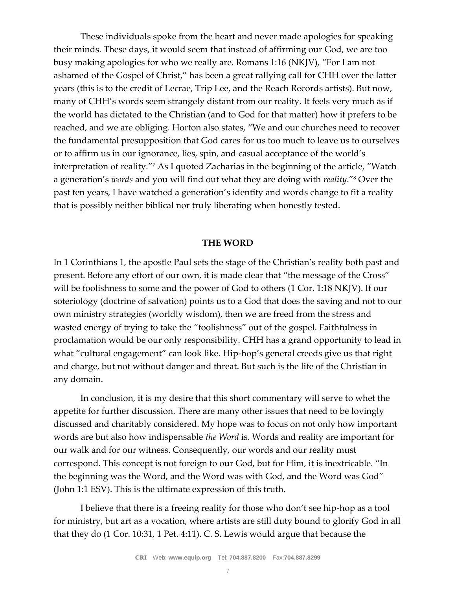These individuals spoke from the heart and never made apologies for speaking their minds. These days, it would seem that instead of affirming our God, we are too busy making apologies for who we really are. Romans 1:16 (NKJV), "For I am not ashamed of the Gospel of Christ," has been a great rallying call for CHH over the latter years (this is to the credit of Lecrae, Trip Lee, and the Reach Records artists). But now, many of CHH's words seem strangely distant from our reality. It feels very much as if the world has dictated to the Christian (and to God for that matter) how it prefers to be reached, and we are obliging. Horton also states, "We and our churches need to recover the fundamental presupposition that God cares for us too much to leave us to ourselves or to affirm us in our ignorance, lies, spin, and casual acceptance of the world's interpretation of reality."<sup>7</sup> As I quoted Zacharias in the beginning of the article, "Watch a generation's *words* and you will find out what they are doing with *reality*."<sup>8</sup> Over the past ten years, I have watched a generation's identity and words change to fit a reality that is possibly neither biblical nor truly liberating when honestly tested.

#### **THE WORD**

In 1 Corinthians 1, the apostle Paul sets the stage of the Christian's reality both past and present. Before any effort of our own, it is made clear that "the message of the Cross" will be foolishness to some and the power of God to others (1 Cor. 1:18 NKJV). If our soteriology (doctrine of salvation) points us to a God that does the saving and not to our own ministry strategies (worldly wisdom), then we are freed from the stress and wasted energy of trying to take the "foolishness" out of the gospel. Faithfulness in proclamation would be our only responsibility. CHH has a grand opportunity to lead in what "cultural engagement" can look like. Hip-hop's general creeds give us that right and charge, but not without danger and threat. But such is the life of the Christian in any domain.

In conclusion, it is my desire that this short commentary will serve to whet the appetite for further discussion. There are many other issues that need to be lovingly discussed and charitably considered. My hope was to focus on not only how important words are but also how indispensable *the Word* is. Words and reality are important for our walk and for our witness. Consequently, our words and our reality must correspond. This concept is not foreign to our God, but for Him, it is inextricable. "In the beginning was the Word, and the Word was with God, and the Word was God" (John 1:1 ESV). This is the ultimate expression of this truth.

I believe that there is a freeing reality for those who don't see hip-hop as a tool for ministry, but art as a vocation, where artists are still duty bound to glorify God in all that they do (1 Cor. 10:31, 1 Pet. 4:11). C. S. Lewis would argue that because the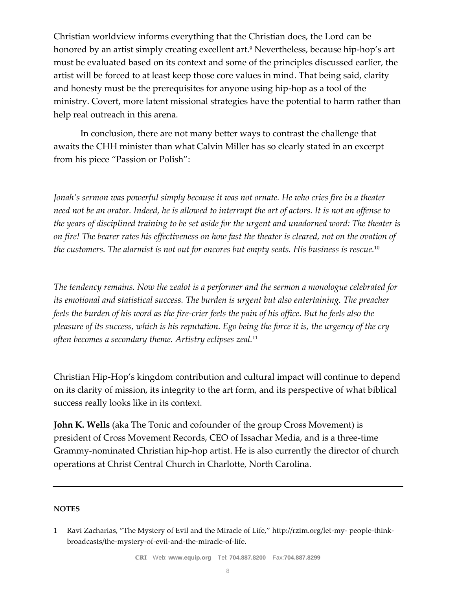Christian worldview informs everything that the Christian does, the Lord can be honored by an artist simply creating excellent art.<sup>9</sup> Nevertheless, because hip-hop's art must be evaluated based on its context and some of the principles discussed earlier, the artist will be forced to at least keep those core values in mind. That being said, clarity and honesty must be the prerequisites for anyone using hip-hop as a tool of the ministry. Covert, more latent missional strategies have the potential to harm rather than help real outreach in this arena.

In conclusion, there are not many better ways to contrast the challenge that awaits the CHH minister than what Calvin Miller has so clearly stated in an excerpt from his piece "Passion or Polish":

*Jonah's sermon was powerful simply because it was not ornate. He who cries fire in a theater need not be an orator. Indeed, he is allowed to interrupt the art of actors. It is not an offense to the years of disciplined training to be set aside for the urgent and unadorned word: The theater is on fire! The bearer rates his effectiveness on how fast the theater is cleared, not on the ovation of the customers. The alarmist is not out for encores but empty seats. His business is rescue.*<sup>10</sup>

*The tendency remains. Now the zealot is a performer and the sermon a monologue celebrated for its emotional and statistical success. The burden is urgent but also entertaining. The preacher*  feels the burden of his word as the fire-crier feels the pain of his office. But he feels also the *pleasure of its success, which is his reputation. Ego being the force it is, the urgency of the cry often becomes a secondary theme. Artistry eclipses zeal.*<sup>11</sup>

Christian Hip-Hop's kingdom contribution and cultural impact will continue to depend on its clarity of mission, its integrity to the art form, and its perspective of what biblical success really looks like in its context.

**John K. Wells** (aka The Tonic and cofounder of the group Cross Movement) is president of Cross Movement Records, CEO of Issachar Media, and is a three-time Grammy-nominated Christian hip-hop artist. He is also currently the director of church operations at Christ Central Church in Charlotte, North Carolina.

#### **NOTES**

<sup>1</sup> Ravi Zacharias, "The Mystery of Evil and the Miracle of Life," http://rzim.org/let-my- people-thinkbroadcasts/the-mystery-of-evil-and-the-miracle-of-life.